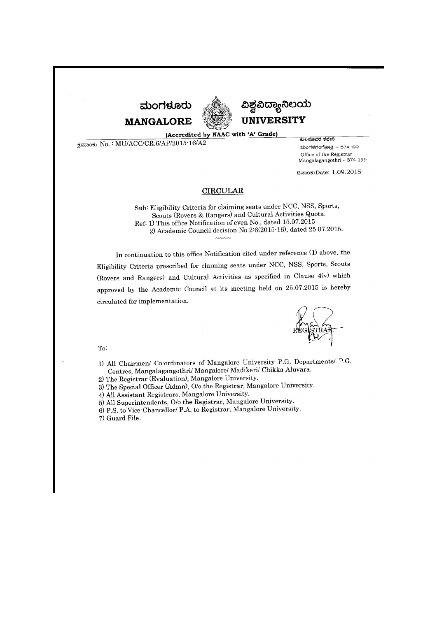



ವಿಶ್ವವಿದ್ಯಾನಿಲಯ **UNIVERSITY** 

(Accredited by NAAC with 'A' Grade)

ಕಮಾಂಕ/ No.: MU/ACC/CR.6/AP/2015-16/A2

ಕೋಸಚಿವರ ಕಛೇರಿ ಮಂಗಳಗಂಗೋತ್ತಿ - 574 199 Office of the Registrar<br>Mangalagangothri - 574 199

ದಿನಾಂಕ/Date: 1.09.2015

#### **CIRCULAR**

Sub: Eligibility Criteria for claiming seats under NCC, NSS, Sports, Scouts (Rovers & Rangers) and Cultural Activities Quota. Ref: 1) This office Notification of even No., dated 15.07.2015 2) Academic Council decision No.2:6(2015-16), dated 25.07.2015.

In continuation to this office Notification cited under reference (1) above, the Eligibility Criteria prescribed for claiming seats under NCC, NSS, Sports, Scouts (Rovers and Rangers) and Cultural Activities as specified in Clause 4(v) which approved by the Academic Council at its meeting held on 25.07.2015 is hereby circulated for implementation.

To:

1) All Chairmen/ Co-ordinators of Mangalore University P.G. Departments/ P.G. Centres, Mangalagangothri/ Mangalore/ Madikeri/ Chikka Aluvara.

2) The Registrar (Evaluation), Mangalore University.

3) The Special Officer (Admn), O/o the Registrar, Mangalore University.

4) All Assistant Registrars, Mangalore University.

5) All Superintendents, O/o the Registrar, Mangalore University.

6) P.S. to Vice Chancellor/ P.A. to Registrar, Mangalore University.

7) Guard File.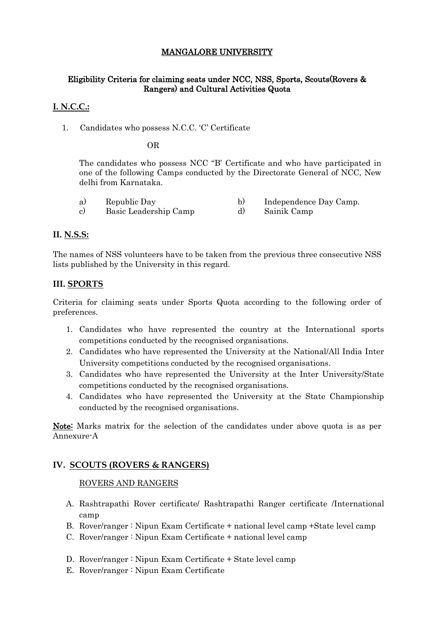# MANGALORE UNIVERSITY

## Eligibility Criteria for claiming seats under NCC, NSS, Sports, Scouts(Rovers & Rangers) and Cultural Activities Quota

## **I. N.C.C.:**

1. Candidates who possess N.C.C. 'C' Certificate

OR

The candidates who possess NCC "B' Certificate and who have participated in one of the following Camps conducted by the Directorate General of NCC, New delhi from Karnataka.

| a)         | Republic Day          | Independence Day Camp. |
|------------|-----------------------|------------------------|
| $_{\rm c}$ | Basic Leadership Camp | Sainik Camp            |

#### **II. N.S.S:**

The names of NSS volunteers have to be taken from the previous three consecutive NSS lists published by the University in this regard.

#### **III. SPORTS**

Criteria for claiming seats under Sports Quota according to the following order of preferences.

- 1. Candidates who have represented the country at the International sports competitions conducted by the recognised organisations.
- 2. Candidates who have represented the University at the National/All India Inter University competitions conducted by the recognised organisations.
- 3. Candidates who have represented the University at the Inter University/State competitions conducted by the recognised organisations.
- 4. Candidates who have represented the University at the State Championship conducted by the recognised organisations.

Note: Marks matrix for the selection of the candidates under above quota is as per Annexure-A

## **IV. SCOUTS (ROVERS & RANGERS)**

#### ROVERS AND RANGERS

- A. Rashtrapathi Rover certificate/ Rashtrapathi Ranger certificate /International camp
- B. Rover/ranger : Nipun Exam Certificate + national level camp +State level camp
- C. Rover/ranger : Nipun Exam Certificate + national level camp
- D. Rover/ranger : Nipun Exam Certificate + State level camp
- E. Rover/ranger : Nipun Exam Certificate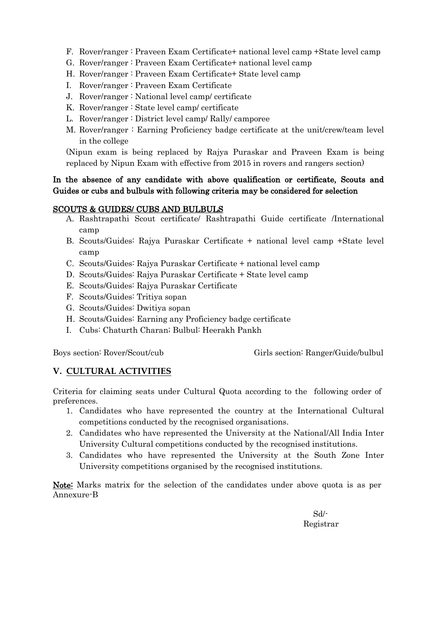- F. Rover/ranger : Praveen Exam Certificate+ national level camp +State level camp
- G. Rover/ranger : Praveen Exam Certificate+ national level camp
- H. Rover/ranger : Praveen Exam Certificate+ State level camp
- I. Rover/ranger : Praveen Exam Certificate
- J. Rover/ranger : National level camp/ certificate
- K. Rover/ranger : State level camp/ certificate
- L. Rover/ranger : District level camp/ Rally/ camporee
- M. Rover/ranger : Earning Proficiency badge certificate at the unit/crew/team level in the college

(Nipun exam is being replaced by Rajya Puraskar and Praveen Exam is being replaced by Nipun Exam with effective from 2015 in rovers and rangers section)

# In the absence of any candidate with above qualification or certificate, Scouts and Guides or cubs and bulbuls with following criteria may be considered for selection

# SCOUTS & GUIDES/ CUBS AND BULBULS

- A. Rashtrapathi Scout certificate/ Rashtrapathi Guide certificate /International camp
- B. Scouts/Guides: Rajya Puraskar Certificate + national level camp +State level camp
- C. Scouts/Guides: Rajya Puraskar Certificate + national level camp
- D. Scouts/Guides: Rajya Puraskar Certificate + State level camp
- E. Scouts/Guides: Rajya Puraskar Certificate
- F. Scouts/Guides: Tritiya sopan
- G. Scouts/Guides: Dwitiya sopan
- H. Scouts/Guides: Earning any Proficiency badge certificate
- I. Cubs: Chaturth Charan; Bulbul: Heerakh Pankh

Boys section: Rover/Scout/cub Girls section: Ranger/Guide/bulbul

# **V. CULTURAL ACTIVITIES**

Criteria for claiming seats under Cultural Quota according to the following order of preferences.

- 1. Candidates who have represented the country at the International Cultural competitions conducted by the recognised organisations.
- 2. Candidates who have represented the University at the National/All India Inter University Cultural competitions conducted by the recognised institutions.
- 3. Candidates who have represented the University at the South Zone Inter University competitions organised by the recognised institutions.

Note: Marks matrix for the selection of the candidates under above quota is as per Annexure-B

 Sd/- Registrar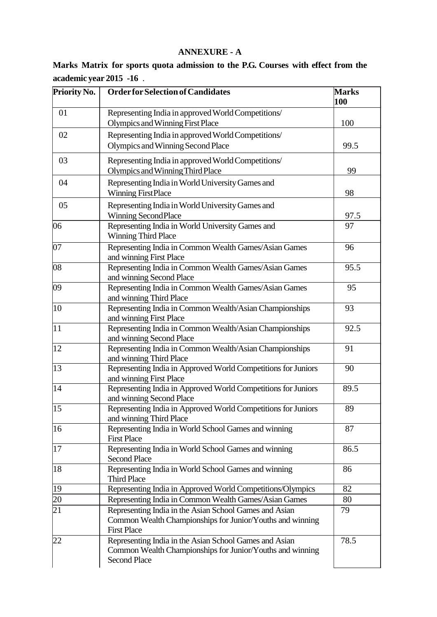# **ANNEXURE - A**

|  |                         |  |  | Marks Matrix for sports quota admission to the P.G. Courses with effect from the |  |
|--|-------------------------|--|--|----------------------------------------------------------------------------------|--|
|  | academic year 2015 -16. |  |  |                                                                                  |  |

| Priority No. | <b>Order for Selection of Candidates</b>                                                                                                   | <b>Marks</b><br>100 |
|--------------|--------------------------------------------------------------------------------------------------------------------------------------------|---------------------|
| 01           | Representing India in approved World Competitions/<br>Olympics and Winning First Place                                                     | 100                 |
| 02           | Representing India in approved World Competitions/<br>Olympics and Winning Second Place                                                    | 99.5                |
| 03           | Representing India in approved World Competitions/<br>Olympics and Winning Third Place                                                     | 99                  |
| 04           | Representing India in World University Games and<br><b>Winning FirstPlace</b>                                                              | 98                  |
| 05           | Representing India in World University Games and<br><b>Winning Second Place</b>                                                            | 97.5                |
| 06           | Representing India in World University Games and<br><b>Winning Third Place</b>                                                             | 97                  |
| 07           | Representing India in Common Wealth Games/Asian Games<br>and winning First Place                                                           | 96                  |
| 08           | Representing India in Common Wealth Games/Asian Games<br>and winning Second Place                                                          | 95.5                |
| 09           | Representing India in Common Wealth Games/Asian Games<br>and winning Third Place                                                           | 95                  |
| 10           | Representing India in Common Wealth/Asian Championships<br>and winning First Place                                                         | 93                  |
| 11           | Representing India in Common Wealth/Asian Championships<br>and winning Second Place                                                        | 92.5                |
| 12           | Representing India in Common Wealth/Asian Championships<br>and winning Third Place                                                         | 91                  |
| 13           | Representing India in Approved World Competitions for Juniors<br>and winning First Place                                                   | 90                  |
| 14           | Representing India in Approved World Competitions for Juniors<br>and winning Second Place                                                  | 89.5                |
| 15           | Representing India in Approved World Competitions for Juniors<br>and winning Third Place                                                   | 89                  |
| 16           | Representing India in World School Games and winning<br><b>First Place</b>                                                                 | 87                  |
| 17           | Representing India in World School Games and winning<br><b>Second Place</b>                                                                | 86.5                |
| 18           | Representing India in World School Games and winning<br><b>Third Place</b>                                                                 | 86                  |
| 19           | Representing India in Approved World Competitions/Olympics                                                                                 | 82                  |
| 20           | Representing India in Common Wealth Games/Asian Games                                                                                      | 80                  |
| 21           | Representing India in the Asian School Games and Asian<br>Common Wealth Championships for Junior/Youths and winning<br><b>First Place</b>  | 79                  |
| 22           | Representing India in the Asian School Games and Asian<br>Common Wealth Championships for Junior/Youths and winning<br><b>Second Place</b> | 78.5                |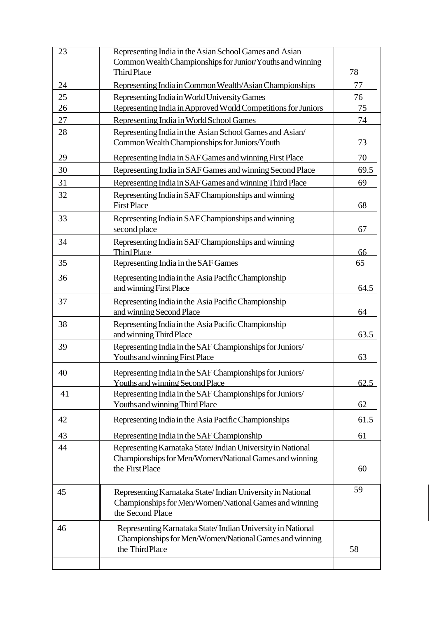| 23 | Representing India in the Asian School Games and Asian<br>Common Wealth Championships for Junior/Youths and winning<br><b>Third Place</b> | 78   |
|----|-------------------------------------------------------------------------------------------------------------------------------------------|------|
| 24 | Representing India in Common Wealth/Asian Championships                                                                                   | 77   |
| 25 | Representing India in World University Games                                                                                              | 76   |
| 26 | Representing India in Approved World Competitions for Juniors                                                                             | 75   |
| 27 | Representing India in World School Games                                                                                                  | 74   |
| 28 | Representing India in the Asian School Games and Asian/<br>Common Wealth Championships for Juniors/Youth                                  | 73   |
| 29 | Representing India in SAF Games and winning First Place                                                                                   | 70   |
| 30 | Representing India in SAF Games and winning Second Place                                                                                  | 69.5 |
| 31 | Representing India in SAF Games and winning Third Place                                                                                   | 69   |
| 32 | Representing India in SAF Championships and winning<br><b>First Place</b>                                                                 | 68   |
| 33 | Representing India in SAF Championships and winning<br>second place                                                                       | 67   |
| 34 | Representing India in SAF Championships and winning<br><b>Third Place</b>                                                                 | 66   |
| 35 | Representing India in the SAF Games                                                                                                       | 65   |
| 36 | Representing India in the Asia Pacific Championship<br>and winning First Place                                                            | 64.5 |
| 37 | Representing India in the Asia Pacific Championship<br>and winning Second Place                                                           | 64   |
| 38 | Representing India in the Asia Pacific Championship<br>and winning Third Place                                                            | 63.5 |
| 39 | Representing India in the SAF Championships for Juniors/<br>Youths and winning First Place                                                | 63   |
| 40 | Representing India in the SAF Championships for Juniors/<br><b>Youths and winning Second Place</b>                                        | 62.5 |
| 41 | Representing India in the SAF Championships for Juniors/<br>Youths and winning Third Place                                                | 62   |
| 42 | Representing India in the Asia Pacific Championships                                                                                      | 61.5 |
| 43 | Representing India in the SAF Championship                                                                                                | 61   |
| 44 | Representing Karnataka State/Indian University in National<br>Championships for Men/Women/National Games and winning<br>the First Place   | 60   |
| 45 | Representing Karnataka State/Indian University in National<br>Championships for Men/Women/National Games and winning<br>the Second Place  | 59   |
| 46 | Representing Karnataka State/Indian University in National<br>Championships for Men/Women/National Games and winning<br>the ThirdPlace    | 58   |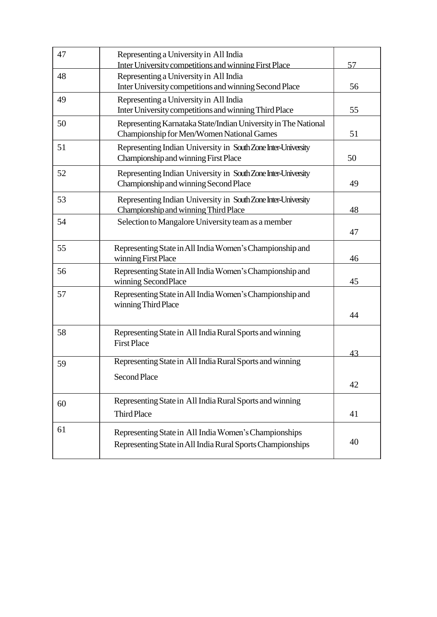| 47 | Representing a University in All India<br>Inter University competitions and winning First Place                     | 57       |
|----|---------------------------------------------------------------------------------------------------------------------|----------|
| 48 | Representing a University in All India<br>Inter University competitions and winning Second Place                    | 56       |
| 49 | Representing a University in All India<br>Inter University competitions and winning Third Place                     | 55       |
| 50 | Representing Karnataka State/Indian University in The National<br>Championship for Men/Women National Games         | 51       |
| 51 | Representing Indian University in South Zone Inter-University<br>Championship and winning First Place               | 50       |
| 52 | Representing Indian University in South Zone Inter-University<br>Championship and winning Second Place              | 49       |
| 53 | Representing Indian University in South Zone Inter-University<br>Championship and winning Third Place               | 48       |
| 54 | Selection to Mangalore University team as a member                                                                  | 47       |
| 55 | Representing State in All India Women's Championship and<br>winning First Place                                     | 46       |
| 56 | Representing State in All India Women's Championship and<br>winning SecondPlace                                     | 45       |
| 57 | Representing State in All India Women's Championship and<br>winning Third Place                                     | 44       |
| 58 | Representing State in All India Rural Sports and winning<br><b>First Place</b>                                      |          |
| 59 | Representing State in All India Rural Sports and winning<br><b>Second Place</b>                                     | 43<br>42 |
| 60 | Representing State in All India Rural Sports and winning<br><b>Third Place</b>                                      | 41       |
| 61 | Representing State in All India Women's Championships<br>Representing State in All India Rural Sports Championships | 40       |